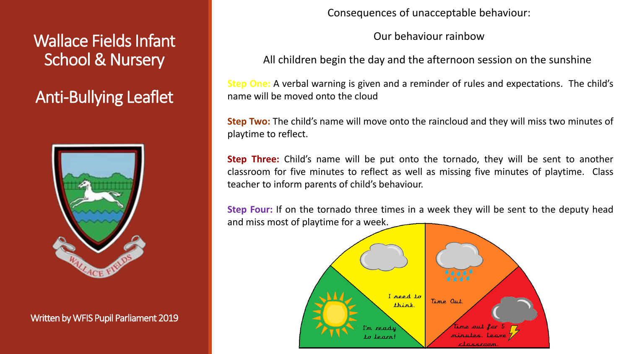Wallace Fields Infant School & Nursery

Anti-Bullying Leaflet



Written by WFIS Pupil Parliament 2019

Consequences of unacceptable behaviour:

Our behaviour rainbow

All children begin the day and the afternoon session on the sunshine

**Step One:** A verbal warning is given and a reminder of rules and expectations. The child's name will be moved onto the cloud

**Step Two:** The child's name will move onto the raincloud and they will miss two minutes of playtime to reflect.

**Step Three:** Child's name will be put onto the tornado, they will be sent to another classroom for five minutes to reflect as well as missing five minutes of playtime. Class teacher to inform parents of child's behaviour.

**Step Four:** If on the tornado three times in a week they will be sent to the deputy head and miss most of playtime for a week.